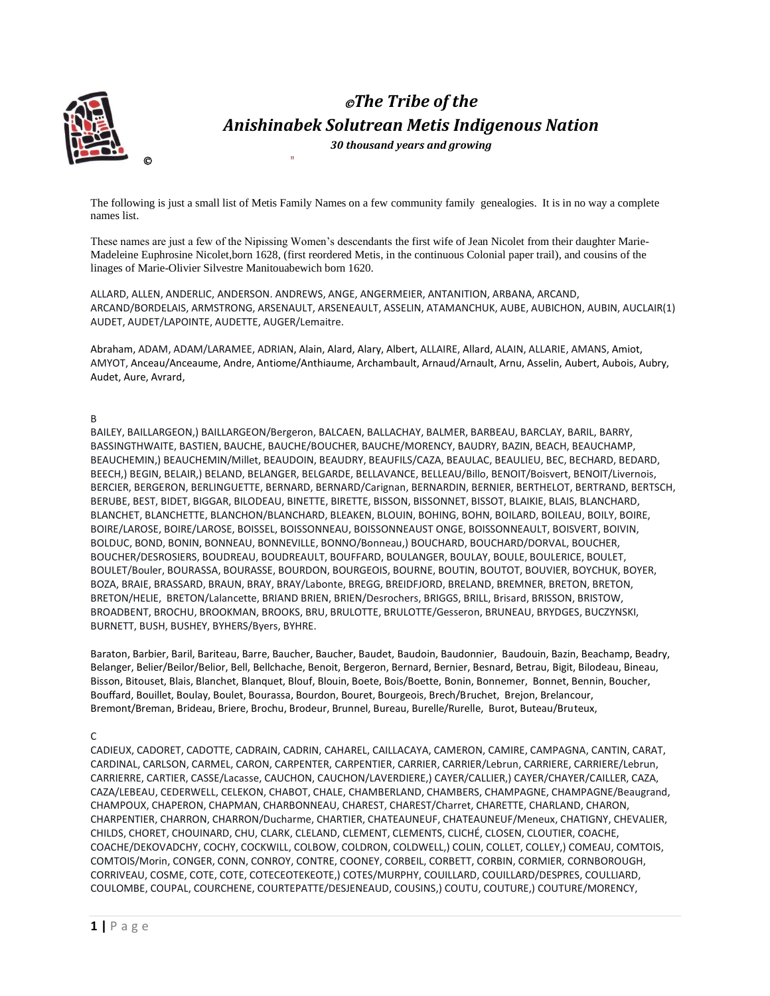

©"

# ©*The Tribe of the Anishinabek Solutrean Metis Indigenous Nation*

*30 thousand years and growing* 

The following is just a small list of Metis Family Names on a few community family genealogies. It is in no way a complete names list.

These names are just a few of the Nipissing Women's descendants the first wife of Jean Nicolet from their daughter Marie-Madeleine Euphrosine Nicolet,born 1628, (first reordered Metis, in the continuous Colonial paper trail), and cousins of the linages of Marie-Olivier Silvestre Manitouabewich born 1620.

ALLARD, ALLEN, ANDERLIC, ANDERSON. ANDREWS, ANGE, ANGERMEIER, ANTANITION, ARBANA, ARCAND, ARCAND/BORDELAIS, ARMSTRONG, ARSENAULT, ARSENEAULT, ASSELIN, ATAMANCHUK, AUBE, AUBICHON, AUBIN, AUCLAIR(1) AUDET, AUDET/LAPOINTE, AUDETTE, AUGER/Lemaitre.

Abraham, ADAM, ADAM/LARAMEE, ADRIAN, Alain, Alard, Alary, Albert, ALLAIRE, Allard, ALAIN, ALLARIE, AMANS, Amiot, AMYOT, Anceau/Anceaume, Andre, Antiome/Anthiaume, Archambault, Arnaud/Arnault, Arnu, Asselin, Aubert, Aubois, Aubry, Audet, Aure, Avrard,

# B

BAILEY, BAILLARGEON,) BAILLARGEON/Bergeron, BALCAEN, BALLACHAY, BALMER, BARBEAU, BARCLAY, BARIL, BARRY, BASSINGTHWAITE, BASTIEN, BAUCHE, BAUCHE/BOUCHER, BAUCHE/MORENCY, BAUDRY, BAZIN, BEACH, BEAUCHAMP, BEAUCHEMIN,) BEAUCHEMIN/Millet, BEAUDOIN, BEAUDRY, BEAUFILS/CAZA, BEAULAC, BEAULIEU, BEC, BECHARD, BEDARD, BEECH,) BEGIN, BELAIR,) BELAND, BELANGER, BELGARDE, BELLAVANCE, BELLEAU/Billo, BENOIT/Boisvert, BENOIT/Livernois, BERCIER, BERGERON, BERLINGUETTE, BERNARD, BERNARD/Carignan, BERNARDIN, BERNIER, BERTHELOT, BERTRAND, BERTSCH, BERUBE, BEST, BIDET, BIGGAR, BILODEAU, BINETTE, BIRETTE, BISSON, BISSONNET, BISSOT, BLAIKIE, BLAIS, BLANCHARD, BLANCHET, BLANCHETTE, BLANCHON/BLANCHARD, BLEAKEN, BLOUIN, BOHING, BOHN, BOILARD, BOILEAU, BOILY, BOIRE, BOIRE/LAROSE, BOIRE/LAROSE, BOISSEL, BOISSONNEAU, BOISSONNEAUST ONGE, BOISSONNEAULT, BOISVERT, BOIVIN, BOLDUC, BOND, BONIN, BONNEAU, BONNEVILLE, BONNO/Bonneau,) BOUCHARD, BOUCHARD/DORVAL, BOUCHER, BOUCHER/DESROSIERS, BOUDREAU, BOUDREAULT, BOUFFARD, BOULANGER, BOULAY, BOULE, BOULERICE, BOULET, BOULET/Bouler, BOURASSA, BOURASSE, BOURDON, BOURGEOIS, BOURNE, BOUTIN, BOUTOT, BOUVIER, BOYCHUK, BOYER, BOZA, BRAIE, BRASSARD, BRAUN, BRAY, BRAY/Labonte, BREGG, BREIDFJORD, BRELAND, BREMNER, BRETON, BRETON, BRETON/HELIE, BRETON/Lalancette, BRIAND BRIEN, BRIEN/Desrochers, BRIGGS, BRILL, Brisard, BRISSON, BRISTOW, BROADBENT, BROCHU, BROOKMAN, BROOKS, BRU, BRULOTTE, BRULOTTE/Gesseron, BRUNEAU, BRYDGES, BUCZYNSKI, BURNETT, BUSH, BUSHEY, BYHERS/Byers, BYHRE.

Baraton, Barbier, Baril, Bariteau, Barre, Baucher, Baucher, Baudet, Baudoin, Baudonnier, Baudouin, Bazin, Beachamp, Beadry, Belanger, Belier/Beilor/Belior, Bell, Bellchache, Benoit, Bergeron, Bernard, Bernier, Besnard, Betrau, Bigit, Bilodeau, Bineau, Bisson, Bitouset, Blais, Blanchet, Blanquet, Blouf, Blouin, Boete, Bois/Boette, Bonin, Bonnemer, Bonnet, Bennin, Boucher, Bouffard, Bouillet, Boulay, Boulet, Bourassa, Bourdon, Bouret, Bourgeois, Brech/Bruchet, Brejon, Brelancour, Bremont/Breman, Brideau, Briere, Brochu, Brodeur, Brunnel, Bureau, Burelle/Rurelle, Burot, Buteau/Bruteux,

C

CADIEUX, CADORET, CADOTTE, CADRAIN, CADRIN, CAHAREL, CAILLACAYA, CAMERON, CAMIRE, CAMPAGNA, CANTIN, CARAT, CARDINAL, CARLSON, CARMEL, CARON, CARPENTER, CARPENTIER, CARRIER, CARRIER/Lebrun, CARRIERE, CARRIERE/Lebrun, CARRIERRE, CARTIER, CASSE/Lacasse, CAUCHON, CAUCHON/LAVERDIERE,) CAYER/CALLIER,) CAYER/CHAYER/CAILLER, CAZA, CAZA/LEBEAU, CEDERWELL, CELEKON, CHABOT, CHALE, CHAMBERLAND, CHAMBERS, CHAMPAGNE, CHAMPAGNE/Beaugrand, CHAMPOUX, CHAPERON, CHAPMAN, CHARBONNEAU, CHAREST, CHAREST/Charret, CHARETTE, CHARLAND, CHARON, CHARPENTIER, CHARRON, CHARRON/Ducharme, CHARTIER, CHATEAUNEUF, CHATEAUNEUF/Meneux, CHATIGNY, CHEVALIER, CHILDS, CHORET, CHOUINARD, CHU, CLARK, CLELAND, CLEMENT, CLEMENTS, CLICHÉ, CLOSEN, CLOUTIER, COACHE, COACHE/DEKOVADCHY, COCHY, COCKWILL, COLBOW, COLDRON, COLDWELL,) COLIN, COLLET, COLLEY,) COMEAU, COMTOIS, COMTOIS/Morin, CONGER, CONN, CONROY, CONTRE, COONEY, CORBEIL, CORBETT, CORBIN, CORMIER, CORNBOROUGH, CORRIVEAU, COSME, COTE, COTE, COTECEOTEKEOTE,) COTES/MURPHY, COUILLARD, COUILLARD/DESPRES, COULLIARD, COULOMBE, COUPAL, COURCHENE, COURTEPATTE/DESJENEAUD, COUSINS,) COUTU, COUTURE,) COUTURE/MORENCY,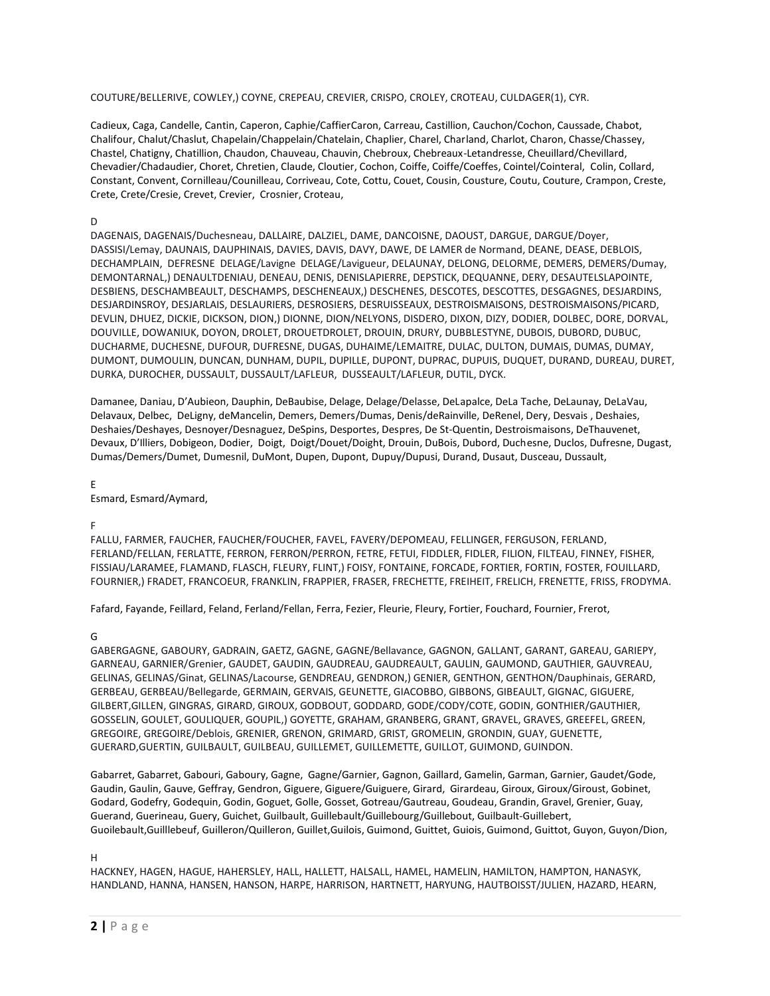COUTURE/BELLERIVE, COWLEY,) COYNE, CREPEAU, CREVIER, CRISPO, CROLEY, CROTEAU, CULDAGER(1), CYR.

Cadieux, Caga, Candelle, Cantin, Caperon, Caphie/CaffierCaron, Carreau, Castillion, Cauchon/Cochon, Caussade, Chabot, Chalifour, Chalut/Chaslut, Chapelain/Chappelain/Chatelain, Chaplier, Charel, Charland, Charlot, Charon, Chasse/Chassey, Chastel, Chatigny, Chatillion, Chaudon, Chauveau, Chauvin, Chebroux, Chebreaux-Letandresse, Cheuillard/Chevillard, Chevadier/Chadaudier, Choret, Chretien, Claude, Cloutier, Cochon, Coiffe, Coiffe/Coeffes, Cointel/Cointeral, Colin, Collard, Constant, Convent, Cornilleau/Counilleau, Corriveau, Cote, Cottu, Couet, Cousin, Cousture, Coutu, Couture, Crampon, Creste, Crete, Crete/Cresie, Crevet, Crevier, Crosnier, Croteau,

# D

DAGENAIS, DAGENAIS/Duchesneau, DALLAIRE, DALZIEL, DAME, DANCOISNE, DAOUST, DARGUE, DARGUE/Doyer, DASSISI/Lemay, DAUNAIS, DAUPHINAIS, DAVIES, DAVIS, DAVY, DAWE, DE LAMER de Normand, DEANE, DEASE, DEBLOIS, DECHAMPLAIN, DEFRESNE DELAGE/Lavigne DELAGE/Lavigueur, DELAUNAY, DELONG, DELORME, DEMERS, DEMERS/Dumay, DEMONTARNAL,) DENAULTDENIAU, DENEAU, DENIS, DENISLAPIERRE, DEPSTICK, DEQUANNE, DERY, DESAUTELSLAPOINTE, DESBIENS, DESCHAMBEAULT, DESCHAMPS, DESCHENEAUX,) DESCHENES, DESCOTES, DESCOTTES, DESGAGNES, DESJARDINS, DESJARDINSROY, DESJARLAIS, DESLAURIERS, DESROSIERS, DESRUISSEAUX, DESTROISMAISONS, DESTROISMAISONS/PICARD, DEVLIN, DHUEZ, DICKIE, DICKSON, DION,) DIONNE, DION/NELYONS, DISDERO, DIXON, DIZY, DODIER, DOLBEC, DORE, DORVAL, DOUVILLE, DOWANIUK, DOYON, DROLET, DROUETDROLET, DROUIN, DRURY, DUBBLESTYNE, DUBOIS, DUBORD, DUBUC, DUCHARME, DUCHESNE, DUFOUR, DUFRESNE, DUGAS, DUHAIME/LEMAITRE, DULAC, DULTON, DUMAIS, DUMAS, DUMAY, DUMONT, DUMOULIN, DUNCAN, DUNHAM, DUPIL, DUPILLE, DUPONT, DUPRAC, DUPUIS, DUQUET, DURAND, DUREAU, DURET, DURKA, DUROCHER, DUSSAULT, DUSSAULT/LAFLEUR, DUSSEAULT/LAFLEUR, DUTIL, DYCK.

Damanee, Daniau, D'Aubieon, Dauphin, DeBaubise, Delage, Delage/Delasse, DeLapalce, DeLa Tache, DeLaunay, DeLaVau, Delavaux, Delbec, DeLigny, deMancelin, Demers, Demers/Dumas, Denis/deRainville, DeRenel, Dery, Desvais , Deshaies, Deshaies/Deshayes, Desnoyer/Desnaguez, DeSpins, Desportes, Despres, De St-Quentin, Destroismaisons, DeThauvenet, Devaux, D'Illiers, Dobigeon, Dodier, Doigt, Doigt/Douet/Doight, Drouin, DuBois, Dubord, Duchesne, Duclos, Dufresne, Dugast, Dumas/Demers/Dumet, Dumesnil, DuMont, Dupen, Dupont, Dupuy/Dupusi, Durand, Dusaut, Dusceau, Dussault,

### E

Esmard, Esmard/Aymard,

F

FALLU, FARMER, FAUCHER, FAUCHER/FOUCHER, FAVEL, FAVERY/DEPOMEAU, FELLINGER, FERGUSON, FERLAND, FERLAND/FELLAN, FERLATTE, FERRON, FERRON/PERRON, FETRE, FETUI, FIDDLER, FIDLER, FILION, FILTEAU, FINNEY, FISHER, FISSIAU/LARAMEE, FLAMAND, FLASCH, FLEURY, FLINT,) FOISY, FONTAINE, FORCADE, FORTIER, FORTIN, FOSTER, FOUILLARD, FOURNIER,) FRADET, FRANCOEUR, FRANKLIN, FRAPPIER, FRASER, FRECHETTE, FREIHEIT, FRELICH, FRENETTE, FRISS, FRODYMA.

Fafard, Fayande, Feillard, Feland, Ferland/Fellan, Ferra, Fezier, Fleurie, Fleury, Fortier, Fouchard, Fournier, Frerot,

### G

GABERGAGNE, GABOURY, GADRAIN, GAETZ, GAGNE, GAGNE/Bellavance, GAGNON, GALLANT, GARANT, GAREAU, GARIEPY, GARNEAU, GARNIER/Grenier, GAUDET, GAUDIN, GAUDREAU, GAUDREAULT, GAULIN, GAUMOND, GAUTHIER, GAUVREAU, GELINAS, GELINAS/Ginat, GELINAS/Lacourse, GENDREAU, GENDRON,) GENIER, GENTHON, GENTHON/Dauphinais, GERARD, GERBEAU, GERBEAU/Bellegarde, GERMAIN, GERVAIS, GEUNETTE, GIACOBBO, GIBBONS, GIBEAULT, GIGNAC, GIGUERE, GILBERT,GILLEN, GINGRAS, GIRARD, GIROUX, GODBOUT, GODDARD, GODE/CODY/COTE, GODIN, GONTHIER/GAUTHIER, GOSSELIN, GOULET, GOULIQUER, GOUPIL,) GOYETTE, GRAHAM, GRANBERG, GRANT, GRAVEL, GRAVES, GREEFEL, GREEN, GREGOIRE, GREGOIRE/Deblois, GRENIER, GRENON, GRIMARD, GRIST, GROMELIN, GRONDIN, GUAY, GUENETTE, GUERARD,GUERTIN, GUILBAULT, GUILBEAU, GUILLEMET, GUILLEMETTE, GUILLOT, GUIMOND, GUINDON.

Gabarret, Gabarret, Gabouri, Gaboury, Gagne, Gagne/Garnier, Gagnon, Gaillard, Gamelin, Garman, Garnier, Gaudet/Gode, Gaudin, Gaulin, Gauve, Geffray, Gendron, Giguere, Giguere/Guiguere, Girard, Girardeau, Giroux, Giroux/Giroust, Gobinet, Godard, Godefry, Godequin, Godin, Goguet, Golle, Gosset, Gotreau/Gautreau, Goudeau, Grandin, Gravel, Grenier, Guay, Guerand, Guerineau, Guery, Guichet, Guilbault, Guillebault/Guillebourg/Guillebout, Guilbault-Guillebert, Guoilebault,Guilllebeuf, Guilleron/Quilleron, Guillet,Guilois, Guimond, Guittet, Guiois, Guimond, Guittot, Guyon, Guyon/Dion,

### H

HACKNEY, HAGEN, HAGUE, HAHERSLEY, HALL, HALLETT, HALSALL, HAMEL, HAMELIN, HAMILTON, HAMPTON, HANASYK, HANDLAND, HANNA, HANSEN, HANSON, HARPE, HARRISON, HARTNETT, HARYUNG, HAUTBOISST/JULIEN, HAZARD, HEARN,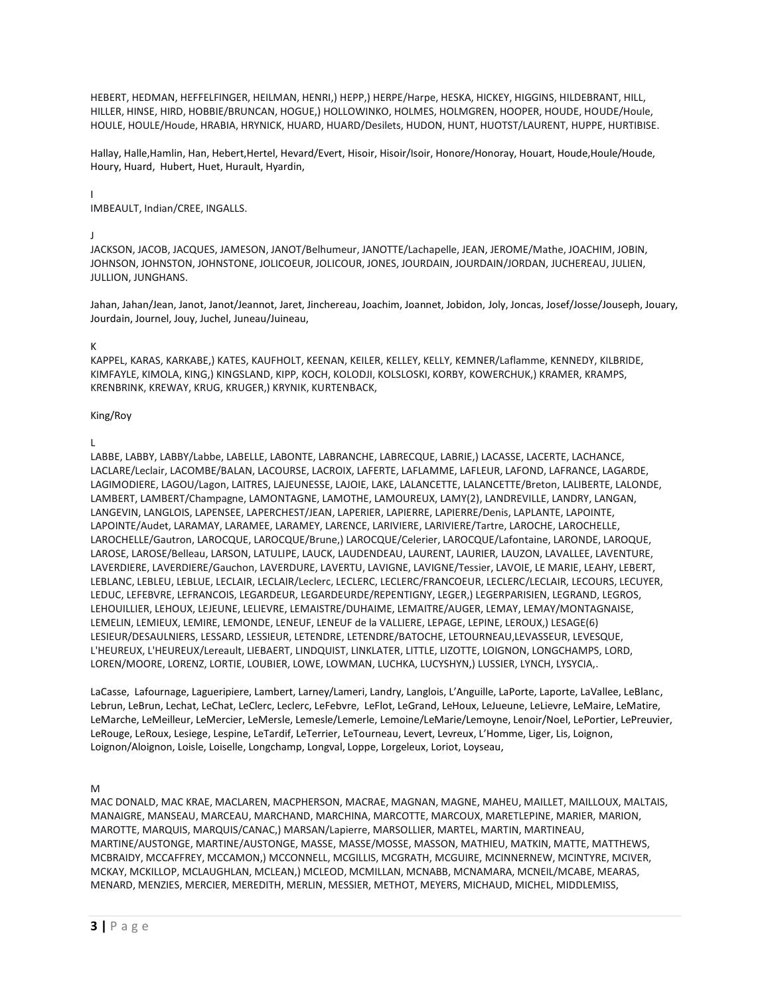HEBERT, HEDMAN, HEFFELFINGER, HEILMAN, HENRI,) HEPP,) HERPE/Harpe, HESKA, HICKEY, HIGGINS, HILDEBRANT, HILL, HILLER, HINSE, HIRD, HOBBIE/BRUNCAN, HOGUE,) HOLLOWINKO, HOLMES, HOLMGREN, HOOPER, HOUDE, HOUDE/Houle, HOULE, HOULE/Houde, HRABIA, HRYNICK, HUARD, HUARD/Desilets, HUDON, HUNT, HUOTST/LAURENT, HUPPE, HURTIBISE.

Hallay, Halle,Hamlin, Han, Hebert,Hertel, Hevard/Evert, Hisoir, Hisoir/Isoir, Honore/Honoray, Houart, Houde,Houle/Houde, Houry, Huard, Hubert, Huet, Hurault, Hyardin,

I

IMBEAULT, Indian/CREE, INGALLS.

## J

JACKSON, JACOB, JACQUES, JAMESON, JANOT/Belhumeur, JANOTTE/Lachapelle, JEAN, JEROME/Mathe, JOACHIM, JOBIN, JOHNSON, JOHNSTON, JOHNSTONE, JOLICOEUR, JOLICOUR, JONES, JOURDAIN, JOURDAIN/JORDAN, JUCHEREAU, JULIEN, JULLION, JUNGHANS.

Jahan, Jahan/Jean, Janot, Janot/Jeannot, Jaret, Jinchereau, Joachim, Joannet, Jobidon, Joly, Joncas, Josef/Josse/Jouseph, Jouary, Jourdain, Journel, Jouy, Juchel, Juneau/Juineau,

## K

KAPPEL, KARAS, KARKABE,) KATES, KAUFHOLT, KEENAN, KEILER, KELLEY, KELLY, KEMNER/Laflamme, KENNEDY, KILBRIDE, KIMFAYLE, KIMOLA, KING,) KINGSLAND, KIPP, KOCH, KOLODJI, KOLSLOSKI, KORBY, KOWERCHUK,) KRAMER, KRAMPS, KRENBRINK, KREWAY, KRUG, KRUGER,) KRYNIK, KURTENBACK,

### King/Roy

L

LABBE, LABBY, LABBY/Labbe, LABELLE, LABONTE, LABRANCHE, LABRECQUE, LABRIE,) LACASSE, LACERTE, LACHANCE, LACLARE/Leclair, LACOMBE/BALAN, LACOURSE, LACROIX, LAFERTE, LAFLAMME, LAFLEUR, LAFOND, LAFRANCE, LAGARDE, LAGIMODIERE, LAGOU/Lagon, LAITRES, LAJEUNESSE, LAJOIE, LAKE, LALANCETTE, LALANCETTE/Breton, LALIBERTE, LALONDE, LAMBERT, LAMBERT/Champagne, LAMONTAGNE, LAMOTHE, LAMOUREUX, LAMY(2), LANDREVILLE, LANDRY, LANGAN, LANGEVIN, LANGLOIS, LAPENSEE, LAPERCHEST/JEAN, LAPERIER, LAPIERRE, LAPIERRE/Denis, LAPLANTE, LAPOINTE, LAPOINTE/Audet, LARAMAY, LARAMEE, LARAMEY, LARENCE, LARIVIERE, LARIVIERE/Tartre, LAROCHE, LAROCHELLE, LAROCHELLE/Gautron, LAROCQUE, LAROCQUE/Brune,) LAROCQUE/Celerier, LAROCQUE/Lafontaine, LARONDE, LAROQUE, LAROSE, LAROSE/Belleau, LARSON, LATULIPE, LAUCK, LAUDENDEAU, LAURENT, LAURIER, LAUZON, LAVALLEE, LAVENTURE, LAVERDIERE, LAVERDIERE/Gauchon, LAVERDURE, LAVERTU, LAVIGNE, LAVIGNE/Tessier, LAVOIE, LE MARIE, LEAHY, LEBERT, LEBLANC, LEBLEU, LEBLUE, LECLAIR, LECLAIR/Leclerc, LECLERC, LECLERC/FRANCOEUR, LECLERC/LECLAIR, LECOURS, LECUYER, LEDUC, LEFEBVRE, LEFRANCOIS, LEGARDEUR, LEGARDEURDE/REPENTIGNY, LEGER,) LEGERPARISIEN, LEGRAND, LEGROS, LEHOUILLIER, LEHOUX, LEJEUNE, LELIEVRE, LEMAISTRE/DUHAIME, LEMAITRE/AUGER, LEMAY, LEMAY/MONTAGNAISE, LEMELIN, LEMIEUX, LEMIRE, LEMONDE, LENEUF, LENEUF de la VALLIERE, LEPAGE, LEPINE, LEROUX,) LESAGE(6) LESIEUR/DESAULNIERS, LESSARD, LESSIEUR, LETENDRE, LETENDRE/BATOCHE, LETOURNEAU,LEVASSEUR, LEVESQUE, L'HEUREUX, L'HEUREUX/Lereault, LIEBAERT, LINDQUIST, LINKLATER, LITTLE, LIZOTTE, LOIGNON, LONGCHAMPS, LORD, LOREN/MOORE, LORENZ, LORTIE, LOUBIER, LOWE, LOWMAN, LUCHKA, LUCYSHYN,) LUSSIER, LYNCH, LYSYCIA,.

LaCasse, Lafournage, Lagueripiere, Lambert, Larney/Lameri, Landry, Langlois, L'Anguille, LaPorte, Laporte, LaVallee, LeBlanc, Lebrun, LeBrun, Lechat, LeChat, LeClerc, Leclerc, LeFebvre, LeFlot, LeGrand, LeHoux, LeJueune, LeLievre, LeMaire, LeMatire, LeMarche, LeMeilleur, LeMercier, LeMersle, Lemesle/Lemerle, Lemoine/LeMarie/Lemoyne, Lenoir/Noel, LePortier, LePreuvier, LeRouge, LeRoux, Lesiege, Lespine, LeTardif, LeTerrier, LeTourneau, Levert, Levreux, L'Homme, Liger, Lis, Loignon, Loignon/Aloignon, Loisle, Loiselle, Longchamp, Longval, Loppe, Lorgeleux, Loriot, Loyseau,

# M

MAC DONALD, MAC KRAE, MACLAREN, MACPHERSON, MACRAE, MAGNAN, MAGNE, MAHEU, MAILLET, MAILLOUX, MALTAIS, MANAIGRE, MANSEAU, MARCEAU, MARCHAND, MARCHINA, MARCOTTE, MARCOUX, MARETLEPINE, MARIER, MARION, MAROTTE, MARQUIS, MARQUIS/CANAC,) MARSAN/Lapierre, MARSOLLIER, MARTEL, MARTIN, MARTINEAU, MARTINE/AUSTONGE, MARTINE/AUSTONGE, MASSE, MASSE/MOSSE, MASSON, MATHIEU, MATKIN, MATTE, MATTHEWS, MCBRAIDY, MCCAFFREY, MCCAMON,) MCCONNELL, MCGILLIS, MCGRATH, MCGUIRE, MCINNERNEW, MCINTYRE, MCIVER, MCKAY, MCKILLOP, MCLAUGHLAN, MCLEAN,) MCLEOD, MCMILLAN, MCNABB, MCNAMARA, MCNEIL/MCABE, MEARAS, MENARD, MENZIES, MERCIER, MEREDITH, MERLIN, MESSIER, METHOT, MEYERS, MICHAUD, MICHEL, MIDDLEMISS,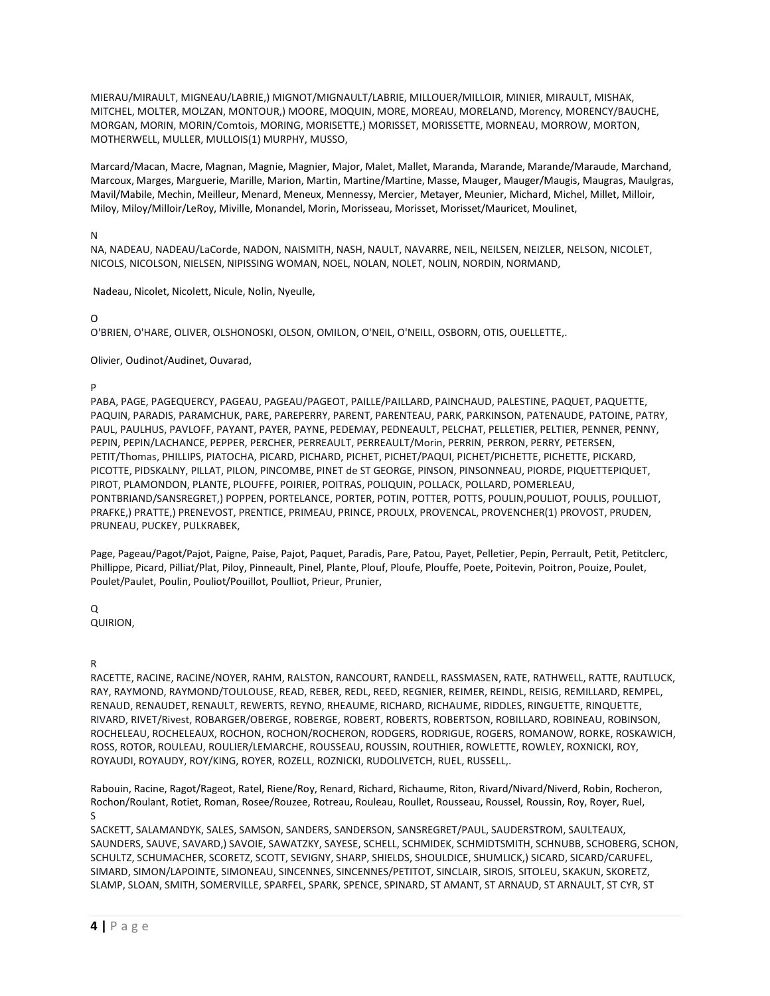MIERAU/MIRAULT, MIGNEAU/LABRIE,) MIGNOT/MIGNAULT/LABRIE, MILLOUER/MILLOIR, MINIER, MIRAULT, MISHAK, MITCHEL, MOLTER, MOLZAN, MONTOUR,) MOORE, MOQUIN, MORE, MOREAU, MORELAND, Morency, MORENCY/BAUCHE, MORGAN, MORIN, MORIN/Comtois, MORING, MORISETTE,) MORISSET, MORISSETTE, MORNEAU, MORROW, MORTON, MOTHERWELL, MULLER, MULLOIS(1) MURPHY, MUSSO,

Marcard/Macan, Macre, Magnan, Magnie, Magnier, Major, Malet, Mallet, Maranda, Marande, Marande/Maraude, Marchand, Marcoux, Marges, Marguerie, Marille, Marion, Martin, Martine/Martine, Masse, Mauger, Mauger/Maugis, Maugras, Maulgras, Mavil/Mabile, Mechin, Meilleur, Menard, Meneux, Mennessy, Mercier, Metayer, Meunier, Michard, Michel, Millet, Milloir, Miloy, Miloy/Milloir/LeRoy, Miville, Monandel, Morin, Morisseau, Morisset, Morisset/Mauricet, Moulinet,

N

NA, NADEAU, NADEAU/LaCorde, NADON, NAISMITH, NASH, NAULT, NAVARRE, NEIL, NEILSEN, NEIZLER, NELSON, NICOLET, NICOLS, NICOLSON, NIELSEN, NIPISSING WOMAN, NOEL, NOLAN, NOLET, NOLIN, NORDIN, NORMAND,

Nadeau, Nicolet, Nicolett, Nicule, Nolin, Nyeulle,

 $\Omega$ 

O'BRIEN, O'HARE, OLIVER, OLSHONOSKI, OLSON, OMILON, O'NEIL, O'NEILL, OSBORN, OTIS, OUELLETTE,.

Olivier, Oudinot/Audinet, Ouvarad,

P

PABA, PAGE, PAGEQUERCY, PAGEAU, PAGEAU/PAGEOT, PAILLE/PAILLARD, PAINCHAUD, PALESTINE, PAQUET, PAQUETTE, PAQUIN, PARADIS, PARAMCHUK, PARE, PAREPERRY, PARENT, PARENTEAU, PARK, PARKINSON, PATENAUDE, PATOINE, PATRY, PAUL, PAULHUS, PAVLOFF, PAYANT, PAYER, PAYNE, PEDEMAY, PEDNEAULT, PELCHAT, PELLETIER, PELTIER, PENNER, PENNY, PEPIN, PEPIN/LACHANCE, PEPPER, PERCHER, PERREAULT, PERREAULT/Morin, PERRIN, PERRON, PERRY, PETERSEN, PETIT/Thomas, PHILLIPS, PIATOCHA, PICARD, PICHARD, PICHET, PICHET/PAQUI, PICHET/PICHETTE, PICHETTE, PICKARD, PICOTTE, PIDSKALNY, PILLAT, PILON, PINCOMBE, PINET de ST GEORGE, PINSON, PINSONNEAU, PIORDE, PIQUETTEPIQUET, PIROT, PLAMONDON, PLANTE, PLOUFFE, POIRIER, POITRAS, POLIQUIN, POLLACK, POLLARD, POMERLEAU, PONTBRIAND/SANSREGRET,) POPPEN, PORTELANCE, PORTER, POTIN, POTTER, POTTS, POULIN,POULIOT, POULIS, POULLIOT, PRAFKE,) PRATTE,) PRENEVOST, PRENTICE, PRIMEAU, PRINCE, PROULX, PROVENCAL, PROVENCHER(1) PROVOST, PRUDEN, PRUNEAU, PUCKEY, PULKRABEK,

Page, Pageau/Pagot/Pajot, Paigne, Paise, Pajot, Paquet, Paradis, Pare, Patou, Payet, Pelletier, Pepin, Perrault, Petit, Petitclerc, Phillippe, Picard, Pilliat/Plat, Piloy, Pinneault, Pinel, Plante, Plouf, Ploufe, Plouffe, Poete, Poitevin, Poitron, Pouize, Poulet, Poulet/Paulet, Poulin, Pouliot/Pouillot, Poulliot, Prieur, Prunier,

 $\Omega$ 

QUIRION,

R

RACETTE, RACINE, RACINE/NOYER, RAHM, RALSTON, RANCOURT, RANDELL, RASSMASEN, RATE, RATHWELL, RATTE, RAUTLUCK, RAY, RAYMOND, RAYMOND/TOULOUSE, READ, REBER, REDL, REED, REGNIER, REIMER, REINDL, REISIG, REMILLARD, REMPEL, RENAUD, RENAUDET, RENAULT, REWERTS, REYNO, RHEAUME, RICHARD, RICHAUME, RIDDLES, RINGUETTE, RINQUETTE, RIVARD, RIVET/Rivest, ROBARGER/OBERGE, ROBERGE, ROBERT, ROBERTS, ROBERTSON, ROBILLARD, ROBINEAU, ROBINSON, ROCHELEAU, ROCHELEAUX, ROCHON, ROCHON/ROCHERON, RODGERS, RODRIGUE, ROGERS, ROMANOW, RORKE, ROSKAWICH, ROSS, ROTOR, ROULEAU, ROULIER/LEMARCHE, ROUSSEAU, ROUSSIN, ROUTHIER, ROWLETTE, ROWLEY, ROXNICKI, ROY, ROYAUDI, ROYAUDY, ROY/KING, ROYER, ROZELL, ROZNICKI, RUDOLIVETCH, RUEL, RUSSELL,.

Rabouin, Racine, Ragot/Rageot, Ratel, Riene/Roy, Renard, Richard, Richaume, Riton, Rivard/Nivard/Niverd, Robin, Rocheron, Rochon/Roulant, Rotiet, Roman, Rosee/Rouzee, Rotreau, Rouleau, Roullet, Rousseau, Roussel, Roussin, Roy, Royer, Ruel, S

SACKETT, SALAMANDYK, SALES, SAMSON, SANDERS, SANDERSON, SANSREGRET/PAUL, SAUDERSTROM, SAULTEAUX, SAUNDERS, SAUVE, SAVARD,) SAVOIE, SAWATZKY, SAYESE, SCHELL, SCHMIDEK, SCHMIDTSMITH, SCHNUBB, SCHOBERG, SCHON, SCHULTZ, SCHUMACHER, SCORETZ, SCOTT, SEVIGNY, SHARP, SHIELDS, SHOULDICE, SHUMLICK,) SICARD, SICARD/CARUFEL, SIMARD, SIMON/LAPOINTE, SIMONEAU, SINCENNES, SINCENNES/PETITOT, SINCLAIR, SIROIS, SITOLEU, SKAKUN, SKORETZ, SLAMP, SLOAN, SMITH, SOMERVILLE, SPARFEL, SPARK, SPENCE, SPINARD, ST AMANT, ST ARNAUD, ST ARNAULT, ST CYR, ST